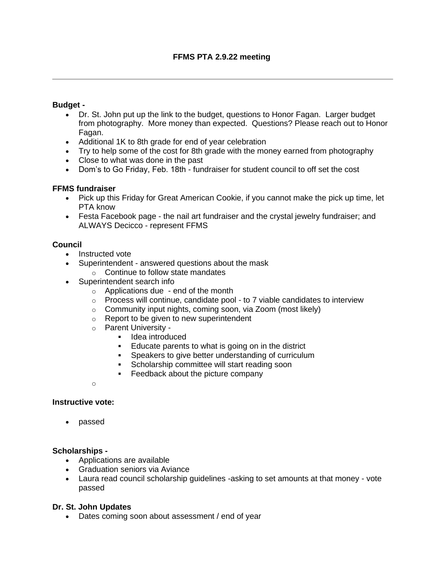## **Budget -**

- Dr. St. John put up the link to the budget, questions to Honor Fagan. Larger budget from photography. More money than expected. Questions? Please reach out to Honor Fagan.
- Additional 1K to 8th grade for end of year celebration
- Try to help some of the cost for 8th grade with the money earned from photography
- Close to what was done in the past
- Dom's to Go Friday, Feb. 18th fundraiser for student council to off set the cost

## **FFMS fundraiser**

- Pick up this Friday for Great American Cookie, if you cannot make the pick up time, let PTA know
- Festa Facebook page the nail art fundraiser and the crystal jewelry fundraiser; and ALWAYS Decicco - represent FFMS

## **Council**

- Instructed vote
- Superintendent answered questions about the mask
	- o Continue to follow state mandates
- Superintendent search info
	- $\circ$  Applications due end of the month
	- $\circ$  Process will continue, candidate pool to 7 viable candidates to interview
	- $\circ$  Community input nights, coming soon, via Zoom (most likely)
	- o Report to be given to new superintendent
	- o Parent University
		- Idea introduced
		- Educate parents to what is going on in the district
		- **EXE** Speakers to give better understanding of curriculum
		- **•** Scholarship committee will start reading soon
		- Feedback about the picture company

o

#### **Instructive vote:**

• passed

#### **Scholarships -**

- Applications are available
- Graduation seniors via Aviance
- Laura read council scholarship guidelines -asking to set amounts at that money vote passed

#### **Dr. St. John Updates**

• Dates coming soon about assessment / end of year